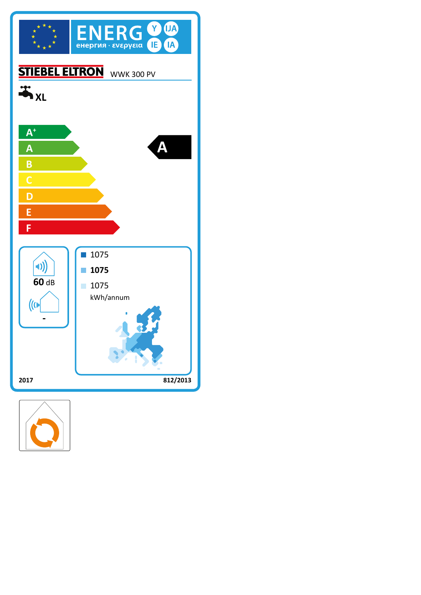